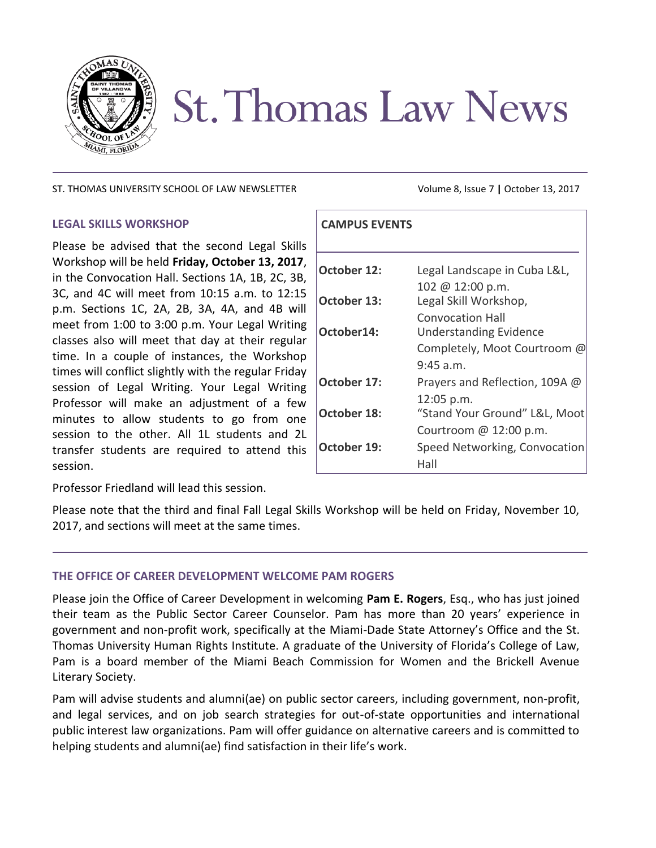

# **St. Thomas Law News**

ST. THOMAS UNIVERSITY SCHOOL OF LAW NEWSLETTER Volume 8, Issue 7 **|** October 13, 2017

## **LEGAL SKILLS WORKSHOP**

Please be advised that the second Legal Skills Workshop will be held **Friday, October 13, 2017**, in the Convocation Hall. Sections 1A, 1B, 2C, 3B, 3C, and 4C will meet from 10:15 a.m. to 12:15 p.m. Sections 1C, 2A, 2B, 3A, 4A, and 4B will meet from 1:00 to 3:00 p.m. Your Legal Writing classes also will meet that day at their regular time. In a couple of instances, the Workshop times will conflict slightly with the regular Friday session of Legal Writing. Your Legal Writing Professor will make an adjustment of a few minutes to allow students to go from one session to the other. All 1L students and 2L transfer students are required to attend this session.

| <b>CAMPUS EVENTS</b> |                                |
|----------------------|--------------------------------|
|                      |                                |
| October 12:          | Legal Landscape in Cuba L&L,   |
|                      | $102 \& 12:00 \text{ p.m.}$    |
| October 13:          | Legal Skill Workshop,          |
|                      | <b>Convocation Hall</b>        |
| October14:           | <b>Understanding Evidence</b>  |
|                      | Completely, Moot Courtroom @   |
|                      | $9:45$ a.m.                    |
| October 17:          | Prayers and Reflection, 109A @ |
|                      | 12:05 p.m.                     |
| <b>October 18:</b>   | "Stand Your Ground" L&L, Moot  |
|                      | Courtroom @ 12:00 p.m.         |
| October 19:          | Speed Networking, Convocation  |
|                      | Hall                           |

Professor Friedland will lead this session.

Please note that the third and final Fall Legal Skills Workshop will be held on Friday, November 10, 2017, and sections will meet at the same times.

## **THE OFFICE OF CAREER DEVELOPMENT WELCOME PAM ROGERS**

Please join the Office of Career Development in welcoming **Pam E. Rogers**, Esq., who has just joined their team as the Public Sector Career Counselor. Pam has more than 20 years' experience in government and non-profit work, specifically at the Miami-Dade State Attorney's Office and the St. Thomas University Human Rights Institute. A graduate of the University of Florida's College of Law, Pam is a board member of the Miami Beach Commission for Women and the Brickell Avenue Literary Society.

Pam will advise students and alumni(ae) on public sector careers, including government, non-profit, and legal services, and on job search strategies for out-of-state opportunities and international public interest law organizations. Pam will offer guidance on alternative careers and is committed to helping students and alumni(ae) find satisfaction in their life's work.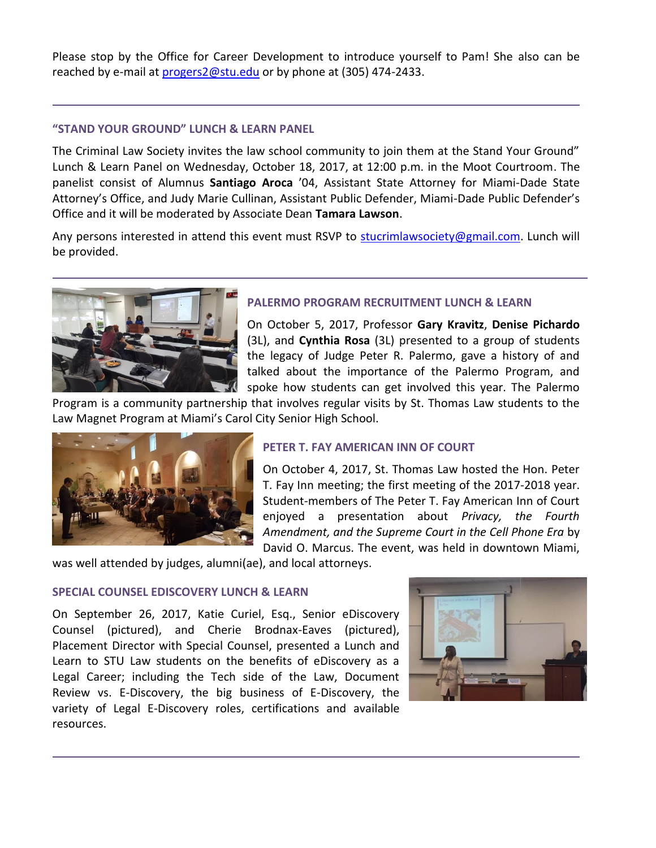Please stop by the Office for Career Development to introduce yourself to Pam! She also can be reached by e-mail at [progers2@stu.edu](mailto:progers2@stu.edu) or by phone at (305) 474-2433.

# **"STAND YOUR GROUND" LUNCH & LEARN PANEL**

The Criminal Law Society invites the law school community to join them at the Stand Your Ground" Lunch & Learn Panel on Wednesday, October 18, 2017, at 12:00 p.m. in the Moot Courtroom. The panelist consist of Alumnus **Santiago Aroca** '04, Assistant State Attorney for Miami-Dade State Attorney's Office, and Judy Marie Cullinan, Assistant Public Defender, Miami-Dade Public Defender's Office and it will be moderated by Associate Dean **Tamara Lawson**.

Any persons interested in attend this event must RSVP to [stucrimlawsociety@gmail.com.](mailto:stucrimlawsociety@gmail.com) Lunch will be provided.



# **PALERMO PROGRAM RECRUITMENT LUNCH & LEARN**

On October 5, 2017, Professor **Gary Kravitz**, **Denise Pichardo** (3L), and **Cynthia Rosa** (3L) presented to a group of students the legacy of Judge Peter R. Palermo, gave a history of and talked about the importance of the Palermo Program, and spoke how students can get involved this year. The Palermo

Program is a community partnership that involves regular visits by St. Thomas Law students to the Law Magnet Program at Miami's Carol City Senior High School.



# **PETER T. FAY AMERICAN INN OF COURT**

On October 4, 2017, St. Thomas Law hosted the Hon. Peter T. Fay Inn meeting; the first meeting of the 2017-2018 year. Student-members of The Peter T. Fay American Inn of Court enjoyed a presentation about *Privacy, the Fourth Amendment, and the Supreme Court in the Cell Phone Era* by David O. Marcus. The event, was held in downtown Miami,

was well attended by judges, alumni(ae), and local attorneys.

## **SPECIAL COUNSEL EDISCOVERY LUNCH & LEARN**

On September 26, 2017, Katie Curiel, Esq., Senior eDiscovery Counsel (pictured), and Cherie Brodnax-Eaves (pictured), Placement Director with Special Counsel, presented a Lunch and Learn to STU Law students on the benefits of eDiscovery as a Legal Career; including the Tech side of the Law, Document Review vs. E-Discovery, the big business of E-Discovery, the variety of Legal E-Discovery roles, certifications and available resources.

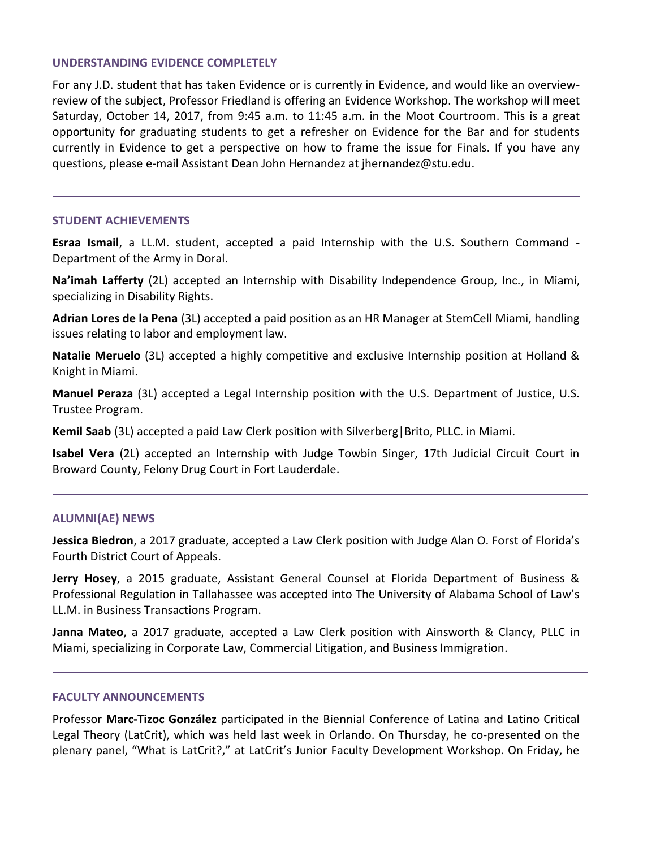#### **UNDERSTANDING EVIDENCE COMPLETELY**

For any J.D. student that has taken Evidence or is currently in Evidence, and would like an overviewreview of the subject, Professor Friedland is offering an Evidence Workshop. The workshop will meet Saturday, October 14, 2017, from 9:45 a.m. to 11:45 a.m. in the Moot Courtroom. This is a great opportunity for graduating students to get a refresher on Evidence for the Bar and for students currently in Evidence to get a perspective on how to frame the issue for Finals. If you have any questions, please e-mail Assistant Dean John Hernandez at jhernandez@stu.edu.

#### **STUDENT ACHIEVEMENTS**

**Esraa Ismail**, a LL.M. student, accepted a paid Internship with the U.S. Southern Command - Department of the Army in Doral.

**Na'imah Lafferty** (2L) accepted an Internship with Disability Independence Group, Inc., in Miami, specializing in Disability Rights.

**Adrian Lores de la Pena** (3L) accepted a paid position as an HR Manager at StemCell Miami, handling issues relating to labor and employment law.

**Natalie Meruelo** (3L) accepted a highly competitive and exclusive Internship position at Holland & Knight in Miami.

**Manuel Peraza** (3L) accepted a Legal Internship position with the U.S. Department of Justice, U.S. Trustee Program.

**Kemil Saab** (3L) accepted a paid Law Clerk position with Silverberg|Brito, PLLC. in Miami.

**Isabel Vera** (2L) accepted an Internship with Judge Towbin Singer, 17th Judicial Circuit Court in Broward County, Felony Drug Court in Fort Lauderdale.

#### **ALUMNI(AE) NEWS**

**Jessica Biedron**, a 2017 graduate, accepted a Law Clerk position with Judge Alan O. Forst of Florida's Fourth District Court of Appeals.

**Jerry Hosey**, a 2015 graduate, Assistant General Counsel at Florida Department of Business & Professional Regulation in Tallahassee was accepted into The University of Alabama School of Law's LL.M. in Business Transactions Program.

**Janna Mateo**, a 2017 graduate, accepted a Law Clerk position with Ainsworth & Clancy, PLLC in Miami, specializing in Corporate Law, Commercial Litigation, and Business Immigration.

#### **FACULTY ANNOUNCEMENTS**

Professor **Marc-Tizoc González** participated in the Biennial Conference of Latina and Latino Critical Legal Theory (LatCrit), which was held last week in Orlando. On Thursday, he co-presented on the plenary panel, "What is LatCrit?," at LatCrit's Junior Faculty Development Workshop. On Friday, he